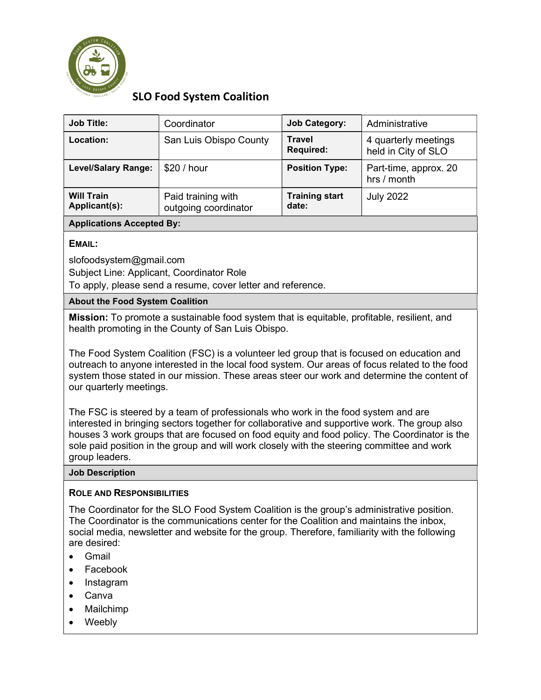

# SLO Food System Coalition

| <b>Job Title:</b>                  | Coordinator                                | <b>Job Category:</b>           | Administrative                              |
|------------------------------------|--------------------------------------------|--------------------------------|---------------------------------------------|
| <b>Location:</b>                   | San Luis Obispo County                     | Travel<br><b>Required:</b>     | 4 quarterly meetings<br>held in City of SLO |
| <b>Level/Salary Range:</b>         | \$20 / hour                                | <b>Position Type:</b>          | Part-time, approx. 20<br>hrs / month        |
| <b>Will Train</b><br>Applicant(s): | Paid training with<br>outgoing coordinator | <b>Training start</b><br>date: | <b>July 2022</b>                            |

### Applications Accepted By:

## EMAIL:

slofoodsystem@gmail.com

Subject Line: Applicant, Coordinator Role

To apply, please send a resume, cover letter and reference.

### About the Food System Coalition

Mission: To promote a sustainable food system that is equitable, profitable, resilient, and health promoting in the County of San Luis Obispo.

The Food System Coalition (FSC) is a volunteer led group that is focused on education and outreach to anyone interested in the local food system. Our areas of focus related to the food system those stated in our mission. These areas steer our work and determine the content of our quarterly meetings.

The FSC is steered by a team of professionals who work in the food system and are interested in bringing sectors together for collaborative and supportive work. The group also houses 3 work groups that are focused on food equity and food policy. The Coordinator is the sole paid position in the group and will work closely with the steering committee and work group leaders.

#### Job Description

#### ROLE AND RESPONSIBILITIES

The Coordinator for the SLO Food System Coalition is the group's administrative position. The Coordinator is the communications center for the Coalition and maintains the inbox, social media, newsletter and website for the group. Therefore, familiarity with the following are desired:

- Gmail
- Facebook
- Instagram
- Canva
- Mailchimp
- Weebly